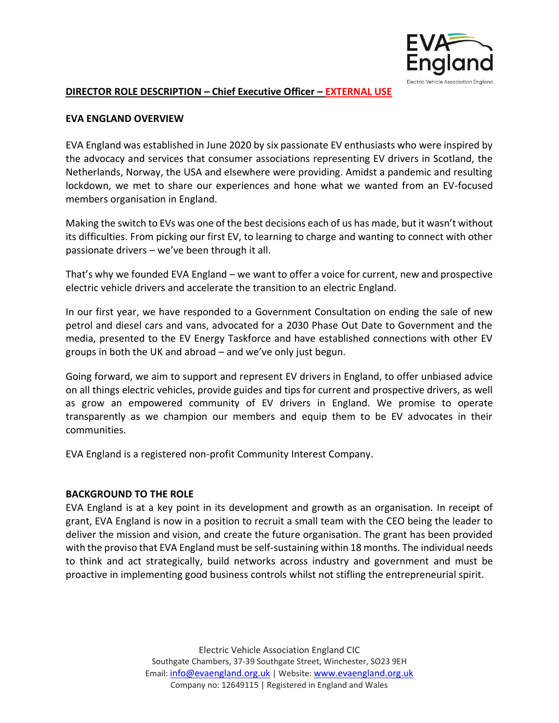

#### **DIRECTOR ROLE DESCRIPTION – Chief Executive Officer – EXTERNAL USE**

#### **EVA ENGLAND OVERVIEW**

EVA England was established in June 2020 by six passionate EV enthusiasts who were inspired by the advocacy and services that consumer associations representing EV drivers in Scotland, the Netherlands, Norway, the USA and elsewhere were providing. Amidst a pandemic and resulting lockdown, we met to share our experiences and hone what we wanted from an EV-focused members organisation in England.

Making the switch to EVs was one of the best decisions each of us has made, but it wasn't without its difficulties. From picking our first EV, to learning to charge and wanting to connect with other passionate drivers – we've been through it all.

That's why we founded EVA England – we want to offer a voice for current, new and prospective electric vehicle drivers and accelerate the transition to an electric England.

In our first year, we have responded to a Government Consultation on ending the sale of new petrol and diesel cars and vans, advocated for a 2030 Phase Out Date to Government and the media, presented to the EV Energy Taskforce and have established connections with other EV groups in both the UK and abroad – and we've only just begun.

Going forward, we aim to support and represent EV drivers in England, to offer unbiased advice on all things electric vehicles, provide guides and tips for current and prospective drivers, as well as grow an empowered community of EV drivers in England. We promise to operate transparently as we champion our members and equip them to be EV advocates in their communities.

EVA England is a registered non-profit Community Interest Company.

## **BACKGROUND TO THE ROLE**

EVA England is at a key point in its development and growth as an organisation. In receipt of grant, EVA England is now in a position to recruit a small team with the CEO being the leader to deliver the mission and vision, and create the future organisation. The grant has been provided with the proviso that EVA England must be self-sustaining within 18 months. The individual needs to think and act strategically, build networks across industry and government and must be proactive in implementing good business controls whilst not stifling the entrepreneurial spirit.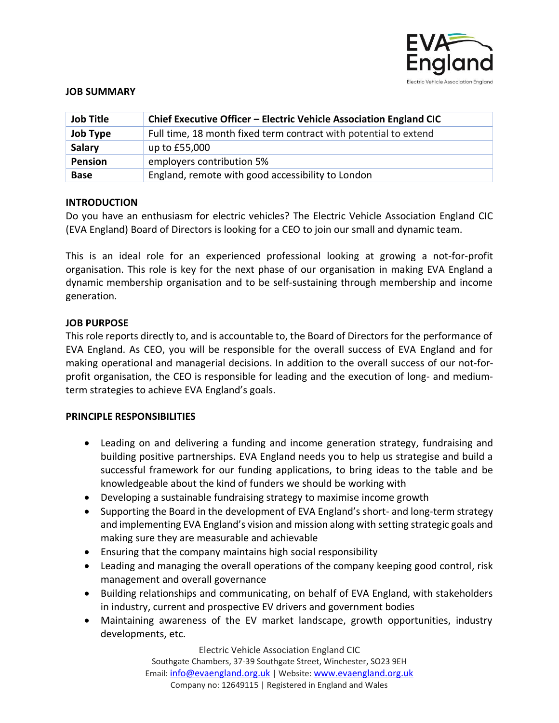

#### **JOB SUMMARY**

| <b>Job Title</b> | Chief Executive Officer - Electric Vehicle Association England CIC |
|------------------|--------------------------------------------------------------------|
| <b>Job Type</b>  | Full time, 18 month fixed term contract with potential to extend   |
| Salary           | up to £55,000                                                      |
| Pension          | employers contribution 5%                                          |
| <b>Base</b>      | England, remote with good accessibility to London                  |

## **INTRODUCTION**

Do you have an enthusiasm for electric vehicles? The Electric Vehicle Association England CIC (EVA England) Board of Directors is looking for a CEO to join our small and dynamic team.

This is an ideal role for an experienced professional looking at growing a not-for-profit organisation. This role is key for the next phase of our organisation in making EVA England a dynamic membership organisation and to be self-sustaining through membership and income generation.

## **JOB PURPOSE**

This role reports directly to, and is accountable to, the Board of Directors for the performance of EVA England. As CEO, you will be responsible for the overall success of EVA England and for making operational and managerial decisions. In addition to the overall success of our not-forprofit organisation, the CEO is responsible for leading and the execution of long- and mediumterm strategies to achieve EVA England's goals.

## **PRINCIPLE RESPONSIBILITIES**

- Leading on and delivering a funding and income generation strategy, fundraising and building positive partnerships. EVA England needs you to help us strategise and build a successful framework for our funding applications, to bring ideas to the table and be knowledgeable about the kind of funders we should be working with
- Developing a sustainable fundraising strategy to maximise income growth
- Supporting the Board in the development of EVA England's short- and long-term strategy and implementing EVA England's vision and mission along with setting strategic goals and making sure they are measurable and achievable
- Ensuring that the company maintains high social responsibility
- Leading and managing the overall operations of the company keeping good control, risk management and overall governance
- Building relationships and communicating, on behalf of EVA England, with stakeholders in industry, current and prospective EV drivers and government bodies
- Maintaining awareness of the EV market landscape, growth opportunities, industry developments, etc.

Electric Vehicle Association England CIC Southgate Chambers, 37-39 Southgate Street, Winchester, SO23 9EH Email: [info@evaengland.org.uk](mailto:info@evaengland.org.uk) | Website: [www.evaengland.org.uk](http://www.evaengland.org.uk/) Company no: 12649115 | Registered in England and Wales